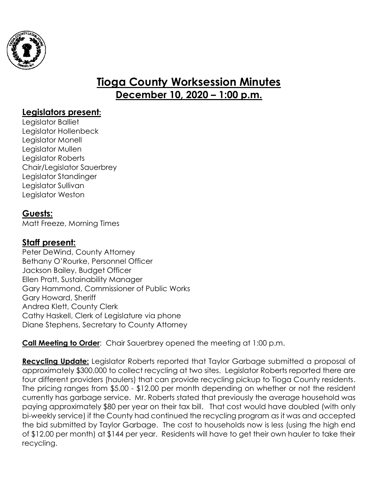

# **Tioga County Worksession Minutes December 10, 2020 – 1:00 p.m.**

### **Legislators present:**

Legislator Balliet Legislator Hollenbeck Legislator Monell Legislator Mullen Legislator Roberts Chair/Legislator Sauerbrey Legislator Standinger Legislator Sullivan Legislator Weston

#### **Guests:**

Matt Freeze, Morning Times

## **Staff present:**

Peter DeWind, County Attorney Bethany O'Rourke, Personnel Officer Jackson Bailey, Budget Officer Ellen Pratt, Sustainability Manager Gary Hammond, Commissioner of Public Works Gary Howard, Sheriff Andrea Klett, County Clerk Cathy Haskell, Clerk of Legislature via phone Diane Stephens, Secretary to County Attorney

**Call Meeting to Order:** Chair Sauerbrey opened the meeting at 1:00 p.m.

**Recycling Update:** Legislator Roberts reported that Taylor Garbage submitted a proposal of approximately \$300,000 to collect recycling at two sites. Legislator Roberts reported there are four different providers (haulers) that can provide recycling pickup to Tioga County residents. The pricing ranges from \$5.00 - \$12.00 per month depending on whether or not the resident currently has garbage service. Mr. Roberts stated that previously the average household was paying approximately \$80 per year on their tax bill. That cost would have doubled (with only bi-weekly service) if the County had continued the recycling program as it was and accepted the bid submitted by Taylor Garbage. The cost to households now is less (using the high end of \$12.00 per month) at \$144 per year. Residents will have to get their own hauler to take their recycling.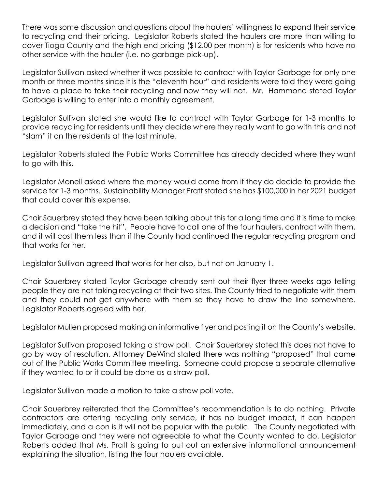There was some discussion and questions about the haulers' willingness to expand their service to recycling and their pricing. Legislator Roberts stated the haulers are more than willing to cover Tioga County and the high end pricing (\$12.00 per month) is for residents who have no other service with the hauler (i.e. no garbage pick-up).

Legislator Sullivan asked whether it was possible to contract with Taylor Garbage for only one month or three months since it is the "eleventh hour" and residents were told they were going to have a place to take their recycling and now they will not. Mr. Hammond stated Taylor Garbage is willing to enter into a monthly agreement.

Legislator Sullivan stated she would like to contract with Taylor Garbage for 1-3 months to provide recycling for residents until they decide where they really want to go with this and not "slam" it on the residents at the last minute.

Legislator Roberts stated the Public Works Committee has already decided where they want to go with this.

Legislator Monell asked where the money would come from if they do decide to provide the service for 1-3 months. Sustainability Manager Pratt stated she has \$100,000 in her 2021 budget that could cover this expense.

Chair Sauerbrey stated they have been talking about this for a long time and it is time to make a decision and "take the hit". People have to call one of the four haulers, contract with them, and it will cost them less than if the County had continued the regular recycling program and that works for her.

Legislator Sullivan agreed that works for her also, but not on January 1.

Chair Sauerbrey stated Taylor Garbage already sent out their flyer three weeks ago telling people they are not taking recycling at their two sites. The County tried to negotiate with them and they could not get anywhere with them so they have to draw the line somewhere. Legislator Roberts agreed with her.

Legislator Mullen proposed making an informative flyer and posting it on the County's website.

Legislator Sullivan proposed taking a straw poll. Chair Sauerbrey stated this does not have to go by way of resolution. Attorney DeWind stated there was nothing "proposed" that came out of the Public Works Committee meeting. Someone could propose a separate alternative if they wanted to or it could be done as a straw poll.

Legislator Sullivan made a motion to take a straw poll vote.

Chair Sauerbrey reiterated that the Committee's recommendation is to do nothing. Private contractors are offering recycling only service, it has no budget impact, it can happen immediately, and a con is it will not be popular with the public. The County negotiated with Taylor Garbage and they were not agreeable to what the County wanted to do. Legislator Roberts added that Ms. Pratt is going to put out an extensive informational announcement explaining the situation, listing the four haulers available.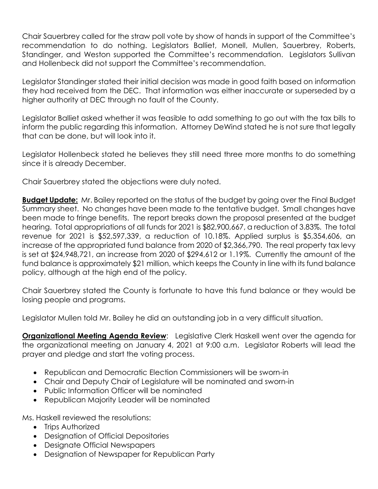Chair Sauerbrey called for the straw poll vote by show of hands in support of the Committee's recommendation to do nothing. Legislators Balliet, Monell, Mullen, Sauerbrey, Roberts, Standinger, and Weston supported the Committee's recommendation. Legislators Sullivan and Hollenbeck did not support the Committee's recommendation.

Legislator Standinger stated their initial decision was made in good faith based on information they had received from the DEC. That information was either inaccurate or superseded by a higher authority at DEC through no fault of the County.

Legislator Balliet asked whether it was feasible to add something to go out with the tax bills to inform the public regarding this information. Attorney DeWind stated he is not sure that legally that can be done, but will look into it.

Legislator Hollenbeck stated he believes they still need three more months to do something since it is already December.

Chair Sauerbrey stated the objections were duly noted.

**Budget Update:** Mr. Bailey reported on the status of the budget by going over the Final Budget Summary sheet. No changes have been made to the tentative budget. Small changes have been made to fringe benefits. The report breaks down the proposal presented at the budget hearing. Total appropriations of all funds for 2021 is \$82,900,667, a reduction of 3.83%. The total revenue for 2021 is \$52,597,339, a reduction of 10.18%. Applied surplus is \$5,354,606, an increase of the appropriated fund balance from 2020 of \$2,366,790. The real property tax levy is set at \$24,948,721, an increase from 2020 of \$294,612 or 1.19%. Currently the amount of the fund balance is approximately \$21 million, which keeps the County in line with its fund balance policy, although at the high end of the policy.

Chair Sauerbrey stated the County is fortunate to have this fund balance or they would be losing people and programs.

Legislator Mullen told Mr. Bailey he did an outstanding job in a very difficult situation.

**Organizational Meeting Agenda Review**: Legislative Clerk Haskell went over the agenda for the organizational meeting on January 4, 2021 at 9:00 a.m. Legislator Roberts will lead the prayer and pledge and start the voting process.

- Republican and Democratic Election Commissioners will be sworn-in
- Chair and Deputy Chair of Legislature will be nominated and sworn-in
- Public Information Officer will be nominated
- Republican Majority Leader will be nominated

Ms. Haskell reviewed the resolutions:

- Trips Authorized
- Designation of Official Depositories
- Designate Official Newspapers
- Designation of Newspaper for Republican Party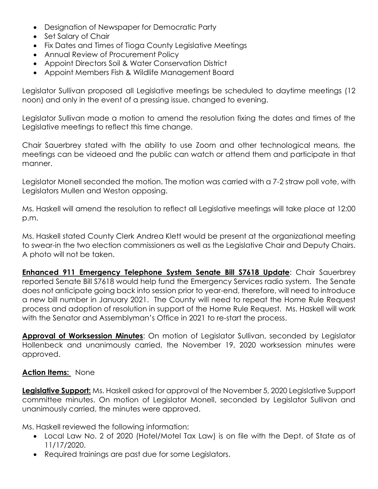- Designation of Newspaper for Democratic Party
- Set Salary of Chair
- Fix Dates and Times of Tioga County Legislative Meetings
- Annual Review of Procurement Policy
- Appoint Directors Soil & Water Conservation District
- Appoint Members Fish & Wildlife Management Board

Legislator Sullivan proposed all Legislative meetings be scheduled to daytime meetings (12 noon) and only in the event of a pressing issue, changed to evening.

Legislator Sullivan made a motion to amend the resolution fixing the dates and times of the Legislative meetings to reflect this time change.

Chair Sauerbrey stated with the ability to use Zoom and other technological means, the meetings can be videoed and the public can watch or attend them and participate in that manner.

Legislator Monell seconded the motion. The motion was carried with a 7-2 straw poll vote, with Legislators Mullen and Weston opposing.

Ms. Haskell will amend the resolution to reflect all Legislative meetings will take place at 12:00 p.m.

Ms. Haskell stated County Clerk Andrea Klett would be present at the organizational meeting to swear-in the two election commissioners as well as the Legislative Chair and Deputy Chairs. A photo will not be taken.

**Enhanced 911 Emergency Telephone System Senate Bill S7618 Update**: Chair Sauerbrey reported Senate Bill S7618 would help fund the Emergency Services radio system. The Senate does not anticipate going back into session prior to year-end, therefore, will need to introduce a new bill number in January 2021. The County will need to repeat the Home Rule Request process and adoption of resolution in support of the Home Rule Request. Ms. Haskell will work with the Senator and Assemblyman's Office in 2021 to re-start the process.

**Approval of Worksession Minutes**: On motion of Legislator Sullivan, seconded by Legislator Hollenbeck and unanimously carried, the November 19, 2020 worksession minutes were approved.

#### **Action Items:** None

**Legislative Support:** Ms. Haskell asked for approval of the November 5, 2020 Legislative Support committee minutes. On motion of Legislator Monell, seconded by Legislator Sullivan and unanimously carried, the minutes were approved.

Ms. Haskell reviewed the following information:

- Local Law No. 2 of 2020 (Hotel/Motel Tax Law) is on file with the Dept. of State as of 11/17/2020.
- Required trainings are past due for some Legislators.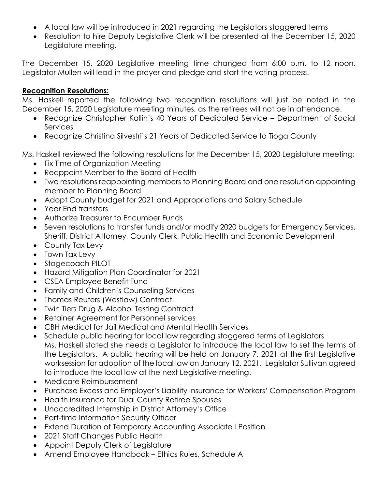- A local law will be introduced in 2021 regarding the Legislators staggered terms
- Resolution to hire Deputy Legislative Clerk will be presented at the December 15, 2020 Legislature meeting.

The December 15, 2020 Legislative meeting time changed from 6:00 p.m. to 12 noon. Legislator Mullen will lead in the prayer and pledge and start the voting process.

#### **Recognition Resolutions:**

Ms. Haskell reported the following two recognition resolutions will just be noted in the December 15, 2020 Legislature meeting minutes, as the retirees will not be in attendance.

- Recognize Christopher Kallin's 40 Years of Dedicated Service Department of Social **Services**
- Recognize Christina Silvestri's 21 Years of Dedicated Service to Tioga County

Ms. Haskell reviewed the following resolutions for the December 15, 2020 Legislature meeting:

- Fix Time of Organization Meeting
- Reappoint Member to the Board of Health
- Two resolutions reappointing members to Planning Board and one resolution appointing member to Planning Board
- Adopt County budget for 2021 and Appropriations and Salary Schedule
- Year End transfers
- Authorize Treasurer to Encumber Funds
- Seven resolutions to transfer funds and/or modify 2020 budgets for Emergency Services, Sheriff, District Attorney, County Clerk, Public Health and Economic Development
- County Tax Levy
- Town Tax Levy
- Stagecoach PILOT
- Hazard Mitigation Plan Coordinator for 2021
- CSEA Employee Benefit Fund
- Family and Children's Counseling Services
- Thomas Reuters (Westlaw) Contract
- Twin Tiers Drug & Alcohol Testing Contract
- Retainer Agreement for Personnel services
- CBH Medical for Jail Medical and Mental Health Services
- Schedule public hearing for local law regarding staggered terms of Legislators Ms. Haskell stated she needs a Legislator to introduce the local law to set the terms of the Legislators. A public hearing will be held on January 7, 2021 at the first Legislative worksession for adoption of the local law on January 12, 2021. Legislator Sullivan agreed to introduce the local law at the next Legislative meeting.
- Medicare Reimbursement
- Purchase Excess and Employer's Liability Insurance for Workers' Compensation Program
- Health insurance for Dual County Retiree Spouses
- Unaccredited Internship in District Attorney's Office
- Part-time Information Security Officer
- Extend Duration of Temporary Accounting Associate I Position
- 2021 Staff Changes Public Health
- Appoint Deputy Clerk of Legislature
- Amend Employee Handbook Ethics Rules, Schedule A